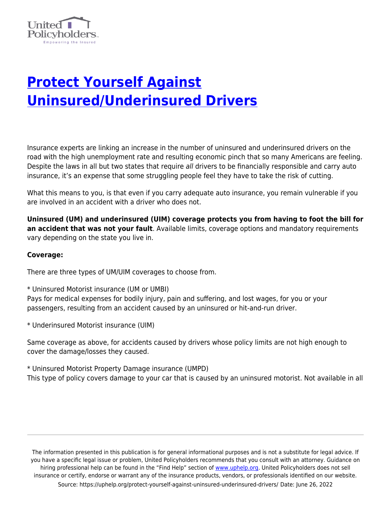

## **[Protect Yourself Against](https://uphelp.org/protect-yourself-against-uninsured-underinsured-drivers/) [Uninsured/Underinsured Drivers](https://uphelp.org/protect-yourself-against-uninsured-underinsured-drivers/)**

Insurance experts are linking an increase in the number of uninsured and underinsured drivers on the road with the high unemployment rate and resulting economic pinch that so many Americans are feeling. Despite the laws in all but two states that require all drivers to be financially responsible and carry auto insurance, it's an expense that some struggling people feel they have to take the risk of cutting.

What this means to you, is that even if you carry adequate auto insurance, you remain vulnerable if you are involved in an accident with a driver who does not.

**Uninsured (UM) and underinsured (UIM) coverage protects you from having to foot the bill for an accident that was not your fault**. Available limits, coverage options and mandatory requirements vary depending on the state you live in.

## **Coverage:**

There are three types of UM/UIM coverages to choose from.

\* Uninsured Motorist insurance (UM or UMBI)

Pays for medical expenses for bodily injury, pain and suffering, and lost wages, for you or your passengers, resulting from an accident caused by an uninsured or hit-and-run driver.

\* Underinsured Motorist insurance (UIM)

Same coverage as above, for accidents caused by drivers whose policy limits are not high enough to cover the damage/losses they caused.

\* Uninsured Motorist Property Damage insurance (UMPD) This type of policy covers damage to your car that is caused by an uninsured motorist. Not available in all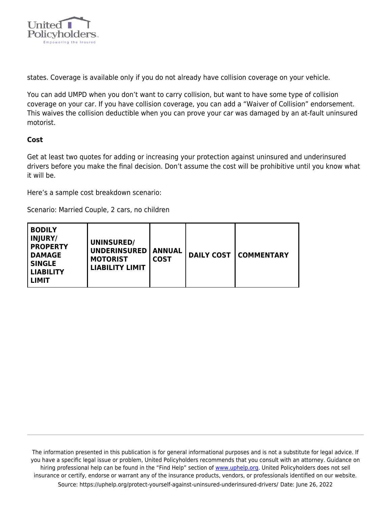

states. Coverage is available only if you do not already have collision coverage on your vehicle.

You can add UMPD when you don't want to carry collision, but want to have some type of collision coverage on your car. If you have collision coverage, you can add a "Waiver of Collision" endorsement. This waives the collision deductible when you can prove your car was damaged by an at-fault uninsured motorist.

## **Cost**

Get at least two quotes for adding or increasing your protection against uninsured and underinsured drivers before you make the final decision. Don't assume the cost will be prohibitive until you know what it will be.

Here's a sample cost breakdown scenario:

Scenario: Married Couple, 2 cars, no children

| <b>BODILY</b><br>  INJURY/<br><b>UNINSURED/</b><br><b>PROPERTY</b><br><b>UNDERINSURED</b><br><b>DAMAGE</b><br><b>MOTORIST</b><br><b>SINGLE</b><br><b>LIABILITY LIMIT</b><br>  LIABILITY<br>l LIMIT | <b>ANNUAL</b><br><b>COST</b> |  | <b>DAILY COST   COMMENTARY</b> |
|----------------------------------------------------------------------------------------------------------------------------------------------------------------------------------------------------|------------------------------|--|--------------------------------|
|----------------------------------------------------------------------------------------------------------------------------------------------------------------------------------------------------|------------------------------|--|--------------------------------|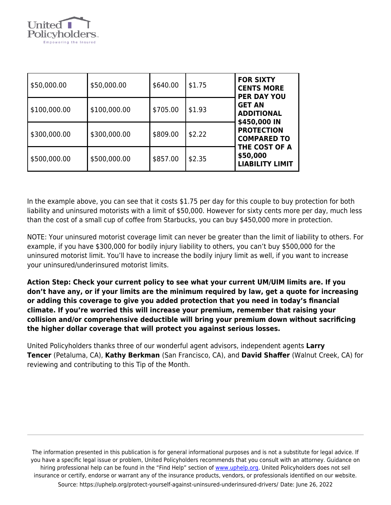

| \$50,000.00  | \$50,000.00  | \$640.00 | \$1.75 | <b>FOR SIXTY</b><br><b>CENTS MORE</b><br><b>PER DAY YOU</b><br><b>GET AN</b><br><b>ADDITIONAL</b><br>\$450,000 IN<br><b>PROTECTION</b><br><b>COMPARED TO</b><br>THE COST OF A<br>\$50,000<br><b>LIABILITY LIMIT</b> |
|--------------|--------------|----------|--------|---------------------------------------------------------------------------------------------------------------------------------------------------------------------------------------------------------------------|
| \$100,000.00 | \$100,000.00 | \$705.00 | \$1.93 |                                                                                                                                                                                                                     |
| \$300,000.00 | \$300,000.00 | \$809.00 | \$2.22 |                                                                                                                                                                                                                     |
| \$500,000.00 | \$500,000.00 | \$857.00 | \$2.35 |                                                                                                                                                                                                                     |

In the example above, you can see that it costs \$1.75 per day for this couple to buy protection for both liability and uninsured motorists with a limit of \$50,000. However for sixty cents more per day, much less than the cost of a small cup of coffee from Starbucks, you can buy \$450,000 more in protection.

NOTE: Your uninsured motorist coverage limit can never be greater than the limit of liability to others. For example, if you have \$300,000 for bodily injury liability to others, you can't buy \$500,000 for the uninsured motorist limit. You'll have to increase the bodily injury limit as well, if you want to increase your uninsured/underinsured motorist limits.

**Action Step: Check your current policy to see what your current UM/UIM limits are. If you don't have any, or if your limits are the minimum required by law, get a quote for increasing or adding this coverage to give you added protection that you need in today's financial climate. If you're worried this will increase your premium, remember that raising your collision and/or comprehensive deductible will bring your premium down without sacrificing the higher dollar coverage that will protect you against serious losses.**

United Policyholders thanks three of our wonderful agent advisors, independent agents **Larry Tencer** (Petaluma, CA), **Kathy Berkman** (San Francisco, CA), and **David Shaffer** (Walnut Creek, CA) for reviewing and contributing to this Tip of the Month.